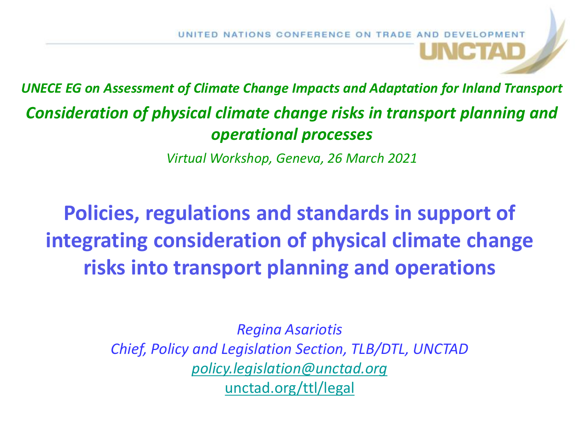*UNECE EG on Assessment of Climate Change Impacts and Adaptation for Inland Transport Consideration of physical climate change risks in transport planning and operational processes*

*Virtual Workshop, Geneva, 26 March 2021*

**Policies, regulations and standards in support of integrating consideration of physical climate change risks into transport planning and operations** 

> *Regina Asariotis Chief, Policy and Legislation Section, TLB/DTL, UNCTAD [policy.legislation@unctad.org](mailto:policy.legislation@unctad.org)* [unctad.org/ttl/legal](http://unctad.org/en/Pages/DTL/TTL/Legal.aspx)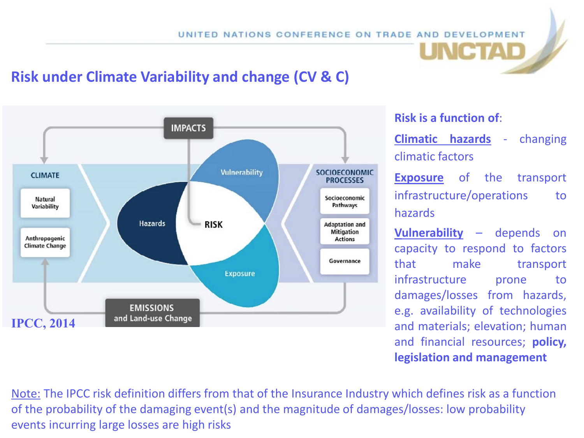## **Risk under Climate Variability and change (CV & C)**



#### **Risk is a function of**:

**Climatic hazards** - changing climatic factors

**Exposure** of the transport infrastructure/operations to hazards

**Vulnerability** – depends on capacity to respond to factors that make transport infrastructure prone to damages/losses from hazards, e.g. availability of technologies and materials; elevation; human and financial resources; **policy, legislation and management**

Note: The IPCC risk definition differs from that of the Insurance Industry which defines risk as a function of the probability of the damaging event(s) and the magnitude of damages/losses: low probability events incurring large losses are high risks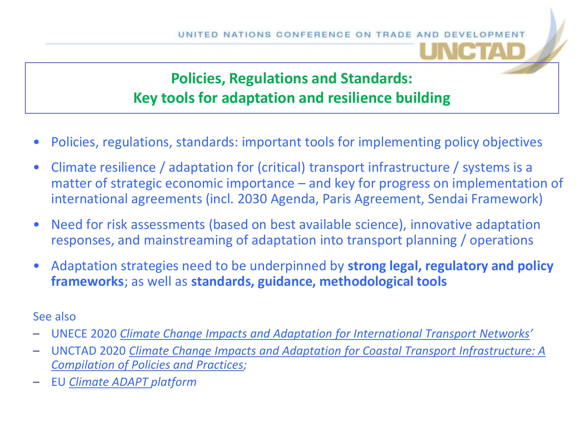## **Policies, Regulations and Standards: Key tools for adaptation and resilience building**

- Policies, regulations, standards: important tools for implementing policy objectives
- Climate resilience / adaptation for (critical) transport infrastructure / systems is a matter of strategic economic importance – and key for progress on implementation of international agreements (incl. 2030 Agenda, Paris Agreement, Sendai Framework)
- Need for risk assessments (based on best available science), innovative adaptation responses, and mainstreaming of adaptation into transport planning / operations
- Adaptation strategies need to be underpinned by **strong legal, regulatory and policy frameworks**; as well as **standards, guidance, methodological tools**

#### See also

- UNECE 2020 *[Climate Change Impacts and Adaptation for International Transport Networks](https://www.unece.org/index.php?id=53818)'*
- UNCTAD 2020 *[Climate Change Impacts and Adaptation for Coastal Transport Infrastructure: A](https://unctad.org/en/pages/PublicationWebflyer.aspx?publicationid=2631)  Compilation of Policies and Practices;*
- EU *[Climate ADAPT](https://climate-adapt.eea.europa.eu/) platform*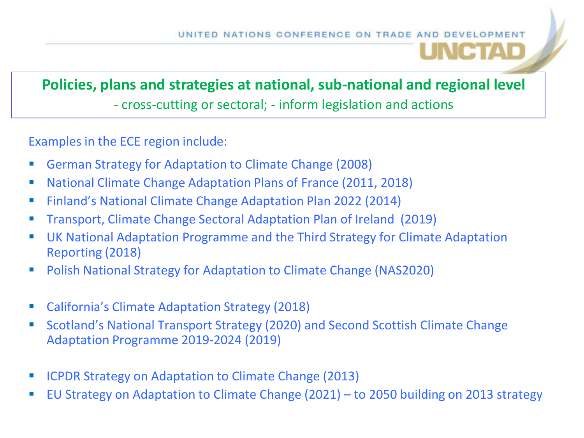# **Policies, plans and strategies at national, sub-national and regional level**  - cross-cutting or sectoral; - inform legislation and actions

Examples in the ECE region include:

- German Strategy for Adaptation to Climate Change (2008)
- National Climate Change Adaptation Plans of France (2011, 2018)
- **Finland's National Climate Change Adaptation Plan 2022 (2014)**
- **Transport, Climate Change Sectoral Adaptation Plan of Ireland (2019)**
- UK National Adaptation Programme and the Third Strategy for Climate Adaptation Reporting (2018)
- Polish National Strategy for Adaptation to Climate Change (NAS2020)
- California's Climate Adaptation Strategy (2018)
- **Scotland's National Transport Strategy (2020) and Second Scottish Climate Change** Adaptation Programme 2019-2024 (2019)
- ICPDR Strategy on Adaptation to Climate Change (2013)
- EU Strategy on Adaptation to Climate Change (2021) to 2050 building on 2013 strategy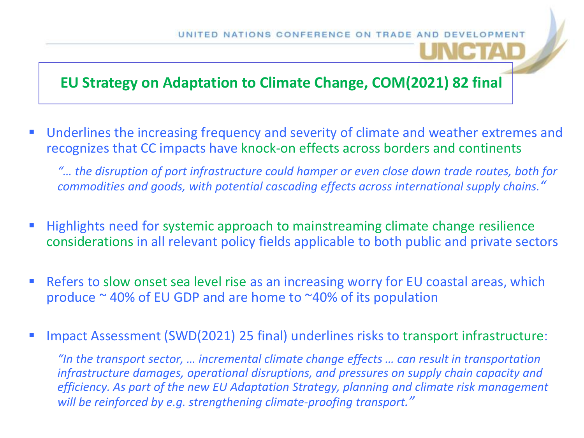### **EU Strategy on Adaptation to Climate Change, COM(2021) 82 final**

■ Underlines the increasing frequency and severity of climate and weather extremes and recognizes that CC impacts have knock-on effects across borders and continents

*"… the disruption of port infrastructure could hamper or even close down trade routes, both for commodities and goods, with potential cascading effects across international supply chains."*

- Highlights need for systemic approach to mainstreaming climate change resilience considerations in all relevant policy fields applicable to both public and private sectors
- **Refers to slow onset sea level rise as an increasing worry for EU coastal areas, which** produce  $\sim$  40% of EU GDP and are home to  $\sim$ 40% of its population
- Impact Assessment (SWD(2021) 25 final) underlines risks to transport infrastructure:

*"In the transport sector, … incremental climate change effects … can result in transportation infrastructure damages, operational disruptions, and pressures on supply chain capacity and efficiency. As part of the new EU Adaptation Strategy, planning and climate risk management will be reinforced by e.g. strengthening climate-proofing transport."*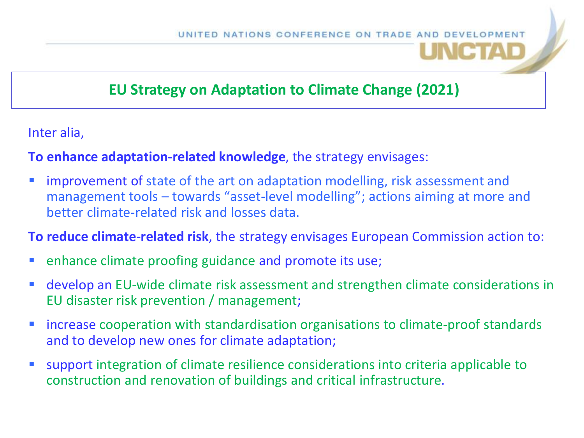## **EU Strategy on Adaptation to Climate Change (2021)**

Inter alia,

#### **To enhance adaptation-related knowledge**, the strategy envisages:

**The improvement of state of the art on adaptation modelling, risk assessment and** management tools – towards "asset-level modelling"; actions aiming at more and better climate-related risk and losses data.

**To reduce climate-related risk**, the strategy envisages European Commission action to:

- **enhance climate proofing guidance and promote its use;**
- **develop an EU-wide climate risk assessment and strengthen climate considerations in** EU disaster risk prevention / management;
- **Increase cooperation with standardisation organisations to climate-proof standards** and to develop new ones for climate adaptation;
- support integration of climate resilience considerations into criteria applicable to construction and renovation of buildings and critical infrastructure.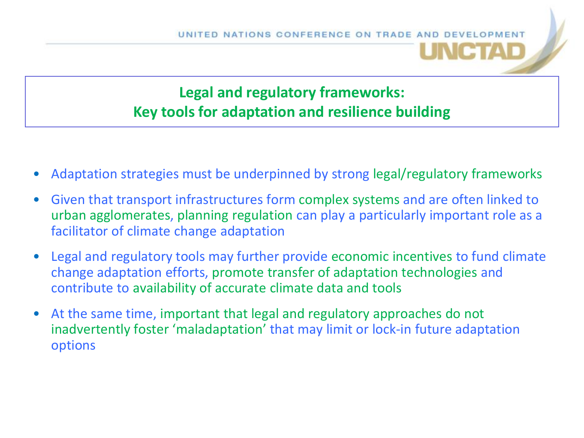# **Legal and regulatory frameworks: Key tools for adaptation and resilience building**

- Adaptation strategies must be underpinned by strong legal/regulatory frameworks
- Given that transport infrastructures form complex systems and are often linked to urban agglomerates, planning regulation can play a particularly important role as a facilitator of climate change adaptation
- Legal and regulatory tools may further provide economic incentives to fund climate change adaptation efforts, promote transfer of adaptation technologies and contribute to availability of accurate climate data and tools
- At the same time, important that legal and regulatory approaches do not inadvertently foster 'maladaptation' that may limit or lock-in future adaptation options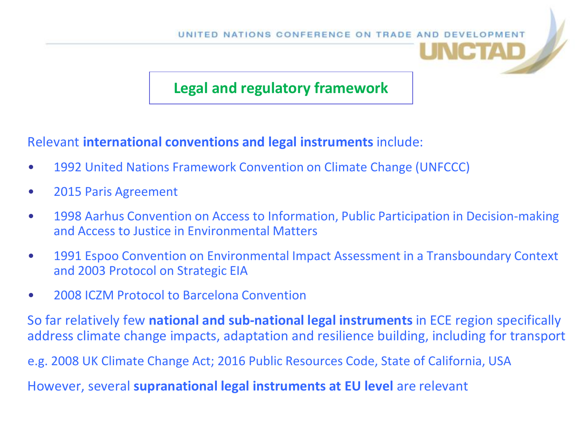## **Legal and regulatory framework**

#### Relevant **international conventions and legal instruments** include:

- 1992 United Nations Framework Convention on Climate Change (UNFCCC)
- 2015 Paris Agreement
- 1998 Aarhus Convention on Access to Information, Public Participation in Decision-making and Access to Justice in Environmental Matters
- 1991 Espoo Convention on Environmental Impact Assessment in a Transboundary Context and 2003 Protocol on Strategic EIA
- 2008 ICZM Protocol to Barcelona Convention

So far relatively few **national and sub-national legal instruments** in ECE region specifically address climate change impacts, adaptation and resilience building, including for transport

e.g. 2008 UK Climate Change Act; 2016 Public Resources Code, State of California, USA

However, several **supranational legal instruments at EU level** are relevant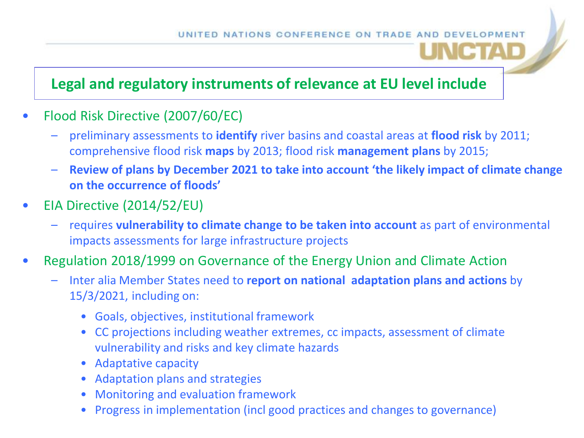## **Legal and regulatory instruments of relevance at EU level include**

- Flood Risk Directive (2007/60/EC)
	- preliminary assessments to **identify** river basins and coastal areas at **flood risk** by 2011; comprehensive flood risk **maps** by 2013; flood risk **management plans** by 2015;
	- **Review of plans by December 2021 to take into account 'the likely impact of climate change on the occurrence of floods'**
- EIA Directive (2014/52/EU)
	- requires **vulnerability to climate change to be taken into account** as part of environmental impacts assessments for large infrastructure projects
- Regulation 2018/1999 on Governance of the Energy Union and Climate Action
	- Inter alia Member States need to **report on national adaptation plans and actions** by 15/3/2021, including on:
		- Goals, objectives, institutional framework
		- CC projections including weather extremes, cc impacts, assessment of climate vulnerability and risks and key climate hazards
		- Adaptative capacity
		- Adaptation plans and strategies
		- Monitoring and evaluation framework
		- Progress in implementation (incl good practices and changes to governance)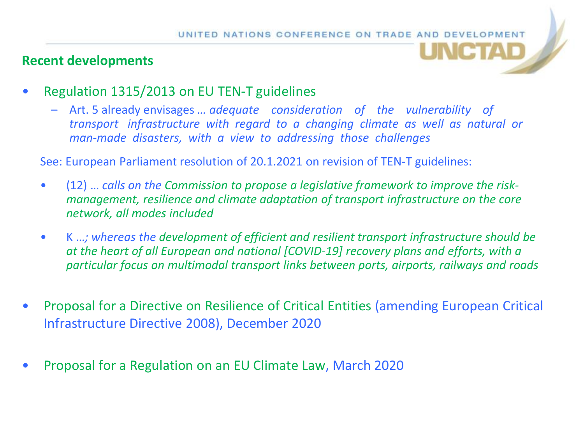#### **Recent developments**



- Regulation 1315/2013 on EU TEN-T guidelines
	- Art. 5 already envisages *… adequate consideration of the vulnerability of transport infrastructure with regard to a changing climate as well as natural or man-made disasters, with a view to addressing those challenges*

See: European Parliament resolution of 20.1.2021 on revision of TEN-T guidelines:

- (12) … *calls on the Commission to propose a legislative framework to improve the riskmanagement, resilience and climate adaptation of transport infrastructure on the core network, all modes included*
- K …*; whereas the development of efficient and resilient transport infrastructure should be at the heart of all European and national [COVID-19] recovery plans and efforts, with a particular focus on multimodal transport links between ports, airports, railways and roads*
- Proposal for a Directive on Resilience of Critical Entities (amending European Critical Infrastructure Directive 2008), December 2020
- Proposal for a Regulation on an EU Climate Law, March 2020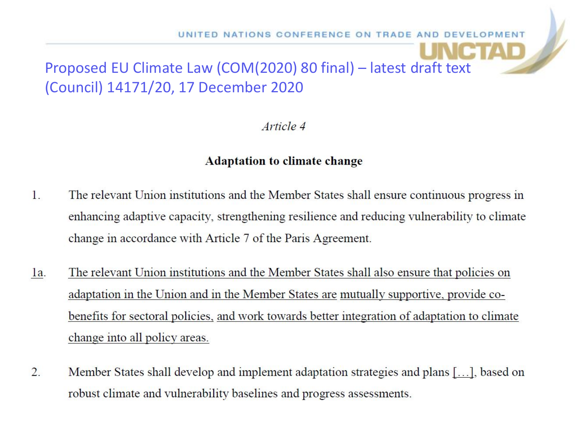# Proposed EU Climate Law (COM(2020) 80 final) – latest draft text (Council) 14171/20, 17 December 2020

Article 4

#### **Adaptation to climate change**

- $\mathbf{1}$ . The relevant Union institutions and the Member States shall ensure continuous progress in enhancing adaptive capacity, strengthening resilience and reducing vulnerability to climate change in accordance with Article 7 of the Paris Agreement.
- The relevant Union institutions and the Member States shall also ensure that policies on  $1a$ . adaptation in the Union and in the Member States are mutually supportive, provide cobenefits for sectoral policies, and work towards better integration of adaptation to climate change into all policy areas.
- $\overline{2}$ . Member States shall develop and implement adaptation strategies and plans [...], based on robust climate and vulnerability baselines and progress assessments.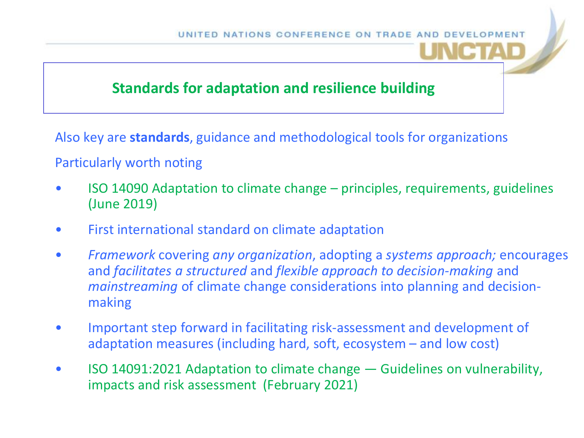

### **Standards for adaptation and resilience building**

Also key are **standards**, guidance and methodological tools for organizations

#### Particularly worth noting

- ISO 14090 Adaptation to climate change principles, requirements, guidelines (June 2019)
- First international standard on climate adaptation
- *Framework* covering *any organization*, adopting a *systems approach;* encourages and *facilitates a structured* and *flexible approach to decision-making* and *mainstreaming* of climate change considerations into planning and decisionmaking
- Important step forward in facilitating risk-assessment and development of adaptation measures (including hard, soft, ecosystem – and low cost)
- ISO 14091:2021 Adaptation to climate change Guidelines on vulnerability, impacts and risk assessment (February 2021)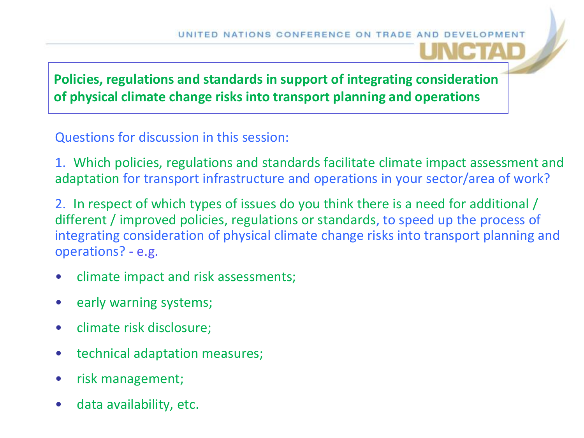

**Policies, regulations and standards in support of integrating consideration of physical climate change risks into transport planning and operations** 

Questions for discussion in this session:

1. Which policies, regulations and standards facilitate climate impact assessment and adaptation for transport infrastructure and operations in your sector/area of work?

2. In respect of which types of issues do you think there is a need for additional / different / improved policies, regulations or standards, to speed up the process of integrating consideration of physical climate change risks into transport planning and operations? - e.g.

- climate impact and risk assessments;
- early warning systems;
- climate risk disclosure;
- technical adaptation measures;
- risk management;
- data availability, etc.